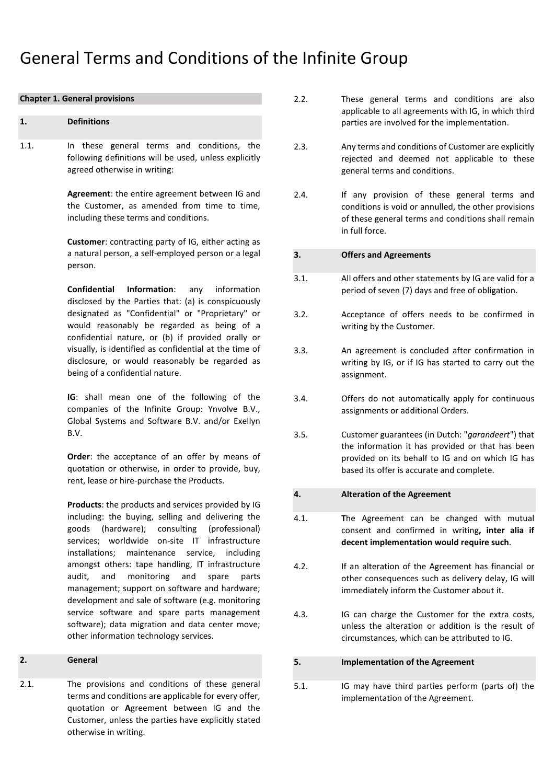# General Terms and Conditions of the Infinite Group

#### **Chapter 1. General provisions**

#### **1. Definitions**

1.1. In these general terms and conditions, the following definitions will be used, unless explicitly agreed otherwise in writing:

> **Agreement**: the entire agreement between IG and the Customer, as amended from time to time, including these terms and conditions.

> **Customer**: contracting party of IG, either acting as a natural person, a self-employed person or a legal person.

> **Confidential Information**: any information disclosed by the Parties that: (a) is conspicuously designated as "Confidential" or "Proprietary" or would reasonably be regarded as being of a confidential nature, or (b) if provided orally or visually, is identified as confidential at the time of disclosure, or would reasonably be regarded as being of a confidential nature.

> **IG**: shall mean one of the following of the companies of the Infinite Group: Ynvolve B.V., Global Systems and Software B.V. and/or Exellyn B.V.

> **Order:** the acceptance of an offer by means of quotation or otherwise, in order to provide, buy, rent, lease or hire-purchase the Products.

> **Products**: the products and services provided by IG including: the buying, selling and delivering the goods (hardware); consulting (professional) services; worldwide on-site IT infrastructure installations; maintenance service, including amongst others: tape handling, IT infrastructure audit, and monitoring and spare parts management; support on software and hardware; development and sale of software (e.g. monitoring service software and spare parts management software); data migration and data center move; other information technology services.

## **2. General**

2.1. The provisions and conditions of these general terms and conditions are applicable for every offer, quotation or **A**greement between IG and the Customer, unless the parties have explicitly stated otherwise in writing.

- 2.2. These general terms and conditions are also applicable to all agreements with IG, in which third parties are involved for the implementation.
- 2.3. Any terms and conditions of Customer are explicitly rejected and deemed not applicable to these general terms and conditions.
- 2.4. If any provision of these general terms and conditions is void or annulled, the other provisions of these general terms and conditions shall remain in full force.

## **3. Offers and Agreements**

- 3.1. All offers and other statements by IG are valid for a period of seven (7) days and free of obligation.
- 3.2. Acceptance of offers needs to be confirmed in writing by the Customer.
- 3.3. An agreement is concluded after confirmation in writing by IG, or if IG has started to carry out the assignment.
- 3.4. Offers do not automatically apply for continuous assignments or additional Orders.
- 3.5. Customer guarantees (in Dutch: "*garandeert*") that the information it has provided or that has been provided on its behalf to IG and on which IG has based its offer is accurate and complete.

## **4. Alteration of the Agreement**

- 4.1. **T**he Agreement can be changed with mutual consent and confirmed in writing**, inter alia if decent implementation would require such**.
- 4.2. If an alteration of the Agreement has financial or other consequences such as delivery delay, IG will immediately inform the Customer about it.
- 4.3. IG can charge the Customer for the extra costs, unless the alteration or addition is the result of circumstances, which can be attributed to IG.

## **5. Implementation of the Agreement**

5.1. IG may have third parties perform (parts of) the implementation of the Agreement.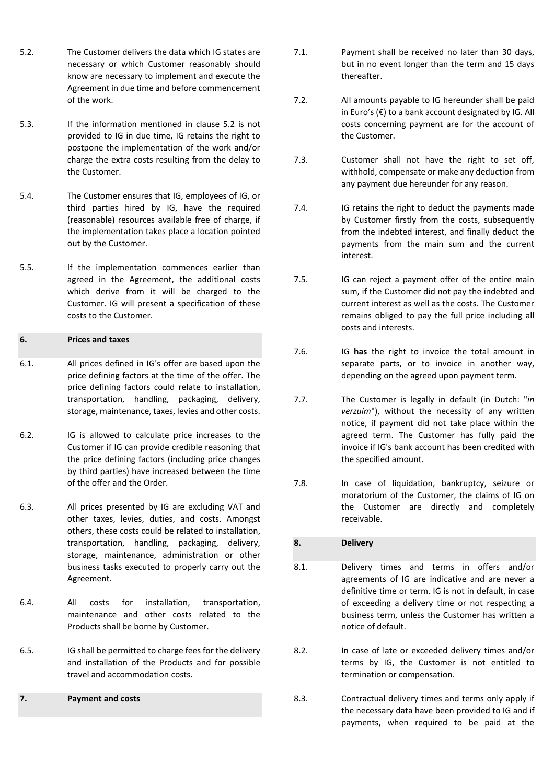- 5.2. The Customer delivers the data which IG states are necessary or which Customer reasonably should know are necessary to implement and execute the Agreement in due time and before commencement of the work.
- 5.3. If the information mentioned in clause 5.2 is not provided to IG in due time, IG retains the right to postpone the implementation of the work and/or charge the extra costs resulting from the delay to the Customer.
- 5.4. The Customer ensures that IG, employees of IG, or third parties hired by IG, have the required (reasonable) resources available free of charge, if the implementation takes place a location pointed out by the Customer.
- 5.5. If the implementation commences earlier than agreed in the Agreement, the additional costs which derive from it will be charged to the Customer. IG will present a specification of these costs to the Customer.

# **6. Prices and taxes**

- 6.1. All prices defined in IG's offer are based upon the price defining factors at the time of the offer. The price defining factors could relate to installation, transportation, handling, packaging, delivery, storage, maintenance, taxes, levies and other costs.
- 6.2. IG is allowed to calculate price increases to the Customer if IG can provide credible reasoning that the price defining factors (including price changes by third parties) have increased between the time of the offer and the Order.
- 6.3. All prices presented by IG are excluding VAT and other taxes, levies, duties, and costs. Amongst others, these costs could be related to installation, transportation, handling, packaging, delivery, storage, maintenance, administration or other business tasks executed to properly carry out the Agreement.
- 6.4. All costs for installation, transportation, maintenance and other costs related to the Products shall be borne by Customer.
- 6.5. IG shall be permitted to charge fees for the delivery and installation of the Products and for possible travel and accommodation costs.

# **7. Payment and costs**

- 7.1. Payment shall be received no later than 30 days, but in no event longer than the term and 15 days thereafter.
- 7.2. All amounts payable to IG hereunder shall be paid in Euro's (€) to a bank account designated by IG. All costs concerning payment are for the account of the Customer.
- 7.3. Customer shall not have the right to set off, withhold, compensate or make any deduction from any payment due hereunder for any reason.
- 7.4. IG retains the right to deduct the payments made by Customer firstly from the costs, subsequently from the indebted interest, and finally deduct the payments from the main sum and the current interest.
- 7.5. IG can reject a payment offer of the entire main sum, if the Customer did not pay the indebted and current interest as well as the costs. The Customer remains obliged to pay the full price including all costs and interests.
- 7.6. IG **has** the right to invoice the total amount in separate parts, or to invoice in another way, depending on the agreed upon payment term*.*
- 7.7. The Customer is legally in default (in Dutch: "*in verzuim*"), without the necessity of any written notice, if payment did not take place within the agreed term. The Customer has fully paid the invoice if IG's bank account has been credited with the specified amount.
- 7.8. In case of liquidation, bankruptcy, seizure or moratorium of the Customer, the claims of IG on the Customer are directly and completely receivable.

# **8. Delivery**

- 8.1. Delivery times and terms in offers and/or agreements of IG are indicative and are never a definitive time or term. IG is not in default, in case of exceeding a delivery time or not respecting a business term, unless the Customer has written a notice of default.
- 8.2. In case of late or exceeded delivery times and/or terms by IG, the Customer is not entitled to termination or compensation.
- 8.3. Contractual delivery times and terms only apply if the necessary data have been provided to IG and if payments, when required to be paid at the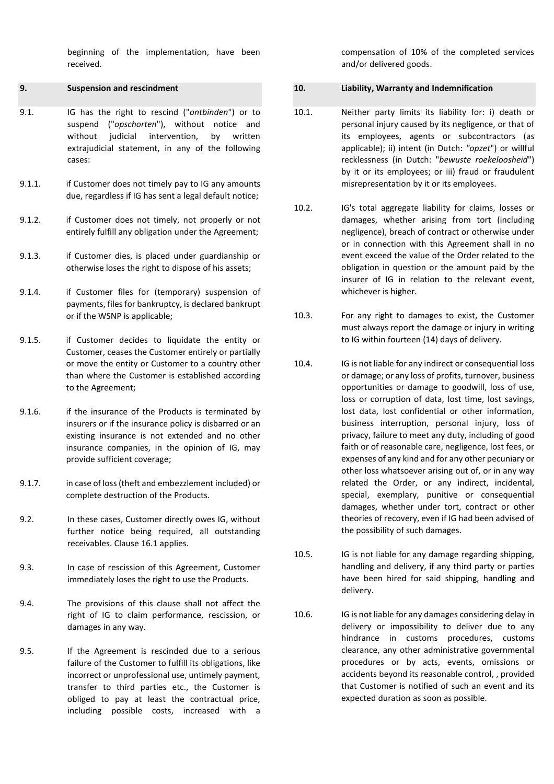beginning of the implementation, have been received.

## **9. Suspension and rescindment**

- 9.1. IG has the right to rescind ("*ontbinden*") or to suspend ("*opschorten*"), without notice and without judicial intervention, by written extrajudicial statement, in any of the following cases:
- 9.1.1. if Customer does not timely pay to IG any amounts due, regardless if IG has sent a legal default notice;
- 9.1.2. if Customer does not timely, not properly or not entirely fulfill any obligation under the Agreement;
- 9.1.3. if Customer dies, is placed under guardianship or otherwise loses the right to dispose of his assets;
- 9.1.4. if Customer files for (temporary) suspension of payments, files for bankruptcy, is declared bankrupt or if the WSNP is applicable;
- 9.1.5. if Customer decides to liquidate the entity or Customer, ceases the Customer entirely or partially or move the entity or Customer to a country other than where the Customer is established according to the Agreement;
- 9.1.6. if the insurance of the Products is terminated by insurers or if the insurance policy is disbarred or an existing insurance is not extended and no other insurance companies, in the opinion of IG, may provide sufficient coverage;
- 9.1.7. in case of loss(theft and embezzlement included) or complete destruction of the Products.
- 9.2. In these cases, Customer directly owes IG, without further notice being required, all outstanding receivables. Clause 16.1 applies.
- 9.3. In case of rescission of this Agreement, Customer immediately loses the right to use the Products.
- 9.4. The provisions of this clause shall not affect the right of IG to claim performance, rescission, or damages in any way.
- 9.5. If the Agreement is rescinded due to a serious failure of the Customer to fulfill its obligations, like incorrect or unprofessional use, untimely payment, transfer to third parties etc., the Customer is obliged to pay at least the contractual price, including possible costs, increased with a

compensation of 10% of the completed services and/or delivered goods.

# **10. Liability, Warranty and Indemnification**

- 10.1. Neither party limits its liability for: i) death or personal injury caused by its negligence, or that of its employees, agents or subcontractors (as applicable); ii) intent (in Dutch: *"opzet*") or willful recklessness (in Dutch: "*bewuste roekeloosheid*") by it or its employees; or iii) fraud or fraudulent misrepresentation by it or its employees.
- 10.2. IG's total aggregate liability for claims, losses or damages, whether arising from tort (including negligence), breach of contract or otherwise under or in connection with this Agreement shall in no event exceed the value of the Order related to the obligation in question or the amount paid by the insurer of IG in relation to the relevant event, whichever is higher.
- 10.3. For any right to damages to exist, the Customer must always report the damage or injury in writing to IG within fourteen (14) days of delivery.
- 10.4. IG is not liable for any indirect or consequential loss or damage; or any loss of profits, turnover, business opportunities or damage to goodwill, loss of use, loss or corruption of data, lost time, lost savings, lost data, lost confidential or other information, business interruption, personal injury, loss of privacy, failure to meet any duty, including of good faith or of reasonable care, negligence, lost fees, or expenses of any kind and for any other pecuniary or other loss whatsoever arising out of, or in any way related the Order, or any indirect, incidental, special, exemplary, punitive or consequential damages, whether under tort, contract or other theories of recovery, even if IG had been advised of the possibility of such damages.
- 10.5. IG is not liable for any damage regarding shipping, handling and delivery, if any third party or parties have been hired for said shipping, handling and delivery.
- 10.6. IG is not liable for any damages considering delay in delivery or impossibility to deliver due to any hindrance in customs procedures, customs clearance, any other administrative governmental procedures or by acts, events, omissions or accidents beyond its reasonable control, , provided that Customer is notified of such an event and its expected duration as soon as possible.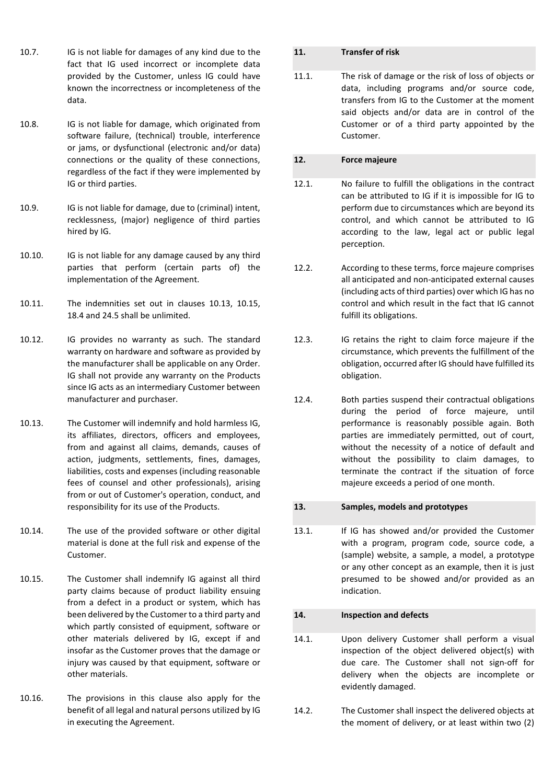- 10.7. IG is not liable for damages of any kind due to the fact that IG used incorrect or incomplete data provided by the Customer, unless IG could have known the incorrectness or incompleteness of the data.
- 10.8. IG is not liable for damage, which originated from software failure, (technical) trouble, interference or jams, or dysfunctional (electronic and/or data) connections or the quality of these connections, regardless of the fact if they were implemented by IG or third parties.
- 10.9. IG is not liable for damage, due to (criminal) intent, recklessness, (major) negligence of third parties hired by IG.
- 10.10. IG is not liable for any damage caused by any third parties that perform (certain parts of) the implementation of the Agreement.
- 10.11. The indemnities set out in clauses 10.13, 10.15, 18.4 and 24.5 shall be unlimited.
- 10.12. IG provides no warranty as such. The standard warranty on hardware and software as provided by the manufacturer shall be applicable on any Order. IG shall not provide any warranty on the Products since IG acts as an intermediary Customer between manufacturer and purchaser.
- 10.13. The Customer will indemnify and hold harmless IG, its affiliates, directors, officers and employees, from and against all claims, demands, causes of action, judgments, settlements, fines, damages, liabilities, costs and expenses (including reasonable fees of counsel and other professionals), arising from or out of Customer's operation, conduct, and responsibility for its use of the Products.
- 10.14. The use of the provided software or other digital material is done at the full risk and expense of the Customer.
- 10.15. The Customer shall indemnify IG against all third party claims because of product liability ensuing from a defect in a product or system, which has been delivered by the Customer to a third party and which partly consisted of equipment, software or other materials delivered by IG, except if and insofar as the Customer proves that the damage or injury was caused by that equipment, software or other materials.
- 10.16. The provisions in this clause also apply for the benefit of all legal and natural persons utilized by IG in executing the Agreement.

## **11. Transfer of risk**

11.1. The risk of damage or the risk of loss of objects or data, including programs and/or source code, transfers from IG to the Customer at the moment said objects and/or data are in control of the Customer or of a third party appointed by the Customer.

# **12. Force majeure**

- 12.1. No failure to fulfill the obligations in the contract can be attributed to IG if it is impossible for IG to perform due to circumstances which are beyond its control, and which cannot be attributed to IG according to the law, legal act or public legal perception.
- 12.2. According to these terms, force majeure comprises all anticipated and non-anticipated external causes (including acts of third parties) over which IG has no control and which result in the fact that IG cannot fulfill its obligations.
- 12.3. IG retains the right to claim force majeure if the circumstance, which prevents the fulfillment of the obligation, occurred after IG should have fulfilled its obligation.
- 12.4. Both parties suspend their contractual obligations during the period of force majeure, until performance is reasonably possible again. Both parties are immediately permitted, out of court, without the necessity of a notice of default and without the possibility to claim damages, to terminate the contract if the situation of force majeure exceeds a period of one month.

## **13. Samples, models and prototypes**

13.1. If IG has showed and/or provided the Customer with a program, program code, source code, a (sample) website, a sample, a model, a prototype or any other concept as an example, then it is just presumed to be showed and/or provided as an indication.

# **14. Inspection and defects**

- 14.1. Upon delivery Customer shall perform a visual inspection of the object delivered object(s) with due care. The Customer shall not sign-off for delivery when the objects are incomplete or evidently damaged.
- 14.2. The Customer shall inspect the delivered objects at the moment of delivery, or at least within two (2)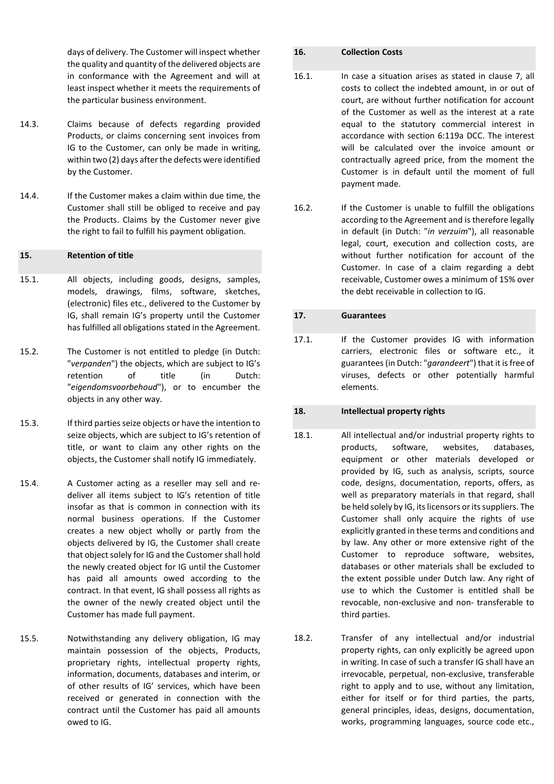days of delivery. The Customer will inspect whether the quality and quantity of the delivered objects are in conformance with the Agreement and will at least inspect whether it meets the requirements of the particular business environment.

- 14.3. Claims because of defects regarding provided Products, or claims concerning sent invoices from IG to the Customer, can only be made in writing, within two (2) days after the defects were identified by the Customer.
- 14.4. If the Customer makes a claim within due time, the Customer shall still be obliged to receive and pay the Products. Claims by the Customer never give the right to fail to fulfill his payment obligation.

## **15. Retention of title**

- 15.1. All objects, including goods, designs, samples, models, drawings, films, software, sketches, (electronic) files etc., delivered to the Customer by IG, shall remain IG's property until the Customer has fulfilled all obligations stated in the Agreement.
- 15.2. The Customer is not entitled to pledge (in Dutch: "*verpanden*") the objects, which are subject to IG's retention of title (in Dutch: "*eigendomsvoorbehoud*"), or to encumber the objects in any other way.
- 15.3. If third parties seize objects or have the intention to seize objects, which are subject to IG's retention of title, or want to claim any other rights on the objects, the Customer shall notify IG immediately.
- 15.4. A Customer acting as a reseller may sell and redeliver all items subject to IG's retention of title insofar as that is common in connection with its normal business operations. If the Customer creates a new object wholly or partly from the objects delivered by IG, the Customer shall create that object solely for IG and the Customer shall hold the newly created object for IG until the Customer has paid all amounts owed according to the contract. In that event, IG shall possess all rights as the owner of the newly created object until the Customer has made full payment.
- 15.5. Notwithstanding any delivery obligation, IG may maintain possession of the objects, Products, proprietary rights, intellectual property rights, information, documents, databases and interim, or of other results of IG' services, which have been received or generated in connection with the contract until the Customer has paid all amounts owed to IG.

#### **16. Collection Costs**

- 16.1. In case a situation arises as stated in clause 7, all costs to collect the indebted amount, in or out of court, are without further notification for account of the Customer as well as the interest at a rate equal to the statutory commercial interest in accordance with section 6:119a DCC. The interest will be calculated over the invoice amount or contractually agreed price, from the moment the Customer is in default until the moment of full payment made.
- 16.2. If the Customer is unable to fulfill the obligations according to the Agreement and is therefore legally in default (in Dutch: "*in verzuim*"), all reasonable legal, court, execution and collection costs, are without further notification for account of the Customer. In case of a claim regarding a debt receivable, Customer owes a minimum of 15% over the debt receivable in collection to IG.

#### **17. Guarantees**

17.1. If the Customer provides IG with information carriers, electronic files or software etc., it guarantees(in Dutch: "*garandeert*") that it isfree of viruses, defects or other potentially harmful elements.

## **18. Intellectual property rights**

- 18.1. All intellectual and/or industrial property rights to products, software, websites, databases, equipment or other materials developed or provided by IG, such as analysis, scripts, source code, designs, documentation, reports, offers, as well as preparatory materials in that regard, shall be held solely by IG, its licensors or its suppliers. The Customer shall only acquire the rights of use explicitly granted in these terms and conditions and by law. Any other or more extensive right of the Customer to reproduce software, websites, databases or other materials shall be excluded to the extent possible under Dutch law. Any right of use to which the Customer is entitled shall be revocable, non-exclusive and non- transferable to third parties.
- 18.2. Transfer of any intellectual and/or industrial property rights, can only explicitly be agreed upon in writing. In case of such a transfer IG shall have an irrevocable, perpetual, non-exclusive, transferable right to apply and to use, without any limitation, either for itself or for third parties, the parts, general principles, ideas, designs, documentation, works, programming languages, source code etc.,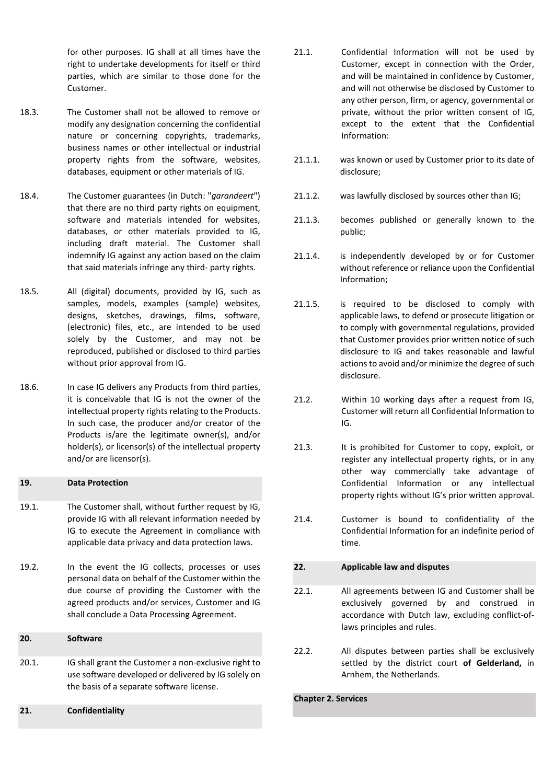for other purposes. IG shall at all times have the right to undertake developments for itself or third parties, which are similar to those done for the Customer.

- 18.3. The Customer shall not be allowed to remove or modify any designation concerning the confidential nature or concerning copyrights, trademarks, business names or other intellectual or industrial property rights from the software, websites, databases, equipment or other materials of IG.
- 18.4. The Customer guarantees (in Dutch: "*garandeert*") that there are no third party rights on equipment, software and materials intended for websites, databases, or other materials provided to IG, including draft material. The Customer shall indemnify IG against any action based on the claim that said materials infringe any third- party rights.
- 18.5. All (digital) documents, provided by IG, such as samples, models, examples (sample) websites, designs, sketches, drawings, films, software, (electronic) files, etc., are intended to be used solely by the Customer, and may not be reproduced, published or disclosed to third parties without prior approval from IG.
- 18.6. In case IG delivers any Products from third parties, it is conceivable that IG is not the owner of the intellectual property rights relating to the Products. In such case, the producer and/or creator of the Products is/are the legitimate owner(s), and/or holder(s), or licensor(s) of the intellectual property and/or are licensor(s).

#### **19. Data Protection**

- 19.1. The Customer shall, without further request by IG, provide IG with all relevant information needed by IG to execute the Agreement in compliance with applicable data privacy and data protection laws.
- 19.2. In the event the IG collects, processes or uses personal data on behalf of the Customer within the due course of providing the Customer with the agreed products and/or services, Customer and IG shall conclude a Data Processing Agreement.

## **20. Software**

- 20.1. IG shall grant the Customer a non-exclusive right to use software developed or delivered by IG solely on the basis of a separate software license.
- **21. Confidentiality**
- 21.1. Confidential Information will not be used by Customer, except in connection with the Order, and will be maintained in confidence by Customer, and will not otherwise be disclosed by Customer to any other person, firm, or agency, governmental or private, without the prior written consent of IG, except to the extent that the Confidential Information:
- 21.1.1. was known or used by Customer prior to its date of disclosure;
- 21.1.2. was lawfully disclosed by sources other than IG;
- 21.1.3. becomes published or generally known to the public;
- 21.1.4. is independently developed by or for Customer without reference or reliance upon the Confidential Information;
- 21.1.5. is required to be disclosed to comply with applicable laws, to defend or prosecute litigation or to comply with governmental regulations, provided that Customer provides prior written notice of such disclosure to IG and takes reasonable and lawful actions to avoid and/or minimize the degree of such disclosure.
- 21.2. Within 10 working days after a request from IG, Customer will return all Confidential Information to IG.
- 21.3. It is prohibited for Customer to copy, exploit, or register any intellectual property rights, or in any other way commercially take advantage of Confidential Information or any intellectual property rights without IG's prior written approval.
- 21.4. Customer is bound to confidentiality of the Confidential Information for an indefinite period of time.

# **22. Applicable law and disputes**

- 22.1. All agreements between IG and Customer shall be exclusively governed by and construed in accordance with Dutch law, excluding conflict-oflaws principles and rules.
- 22.2. All disputes between parties shall be exclusively settled by the district court **of Gelderland,** in Arnhem, the Netherlands.

**Chapter 2. Services**